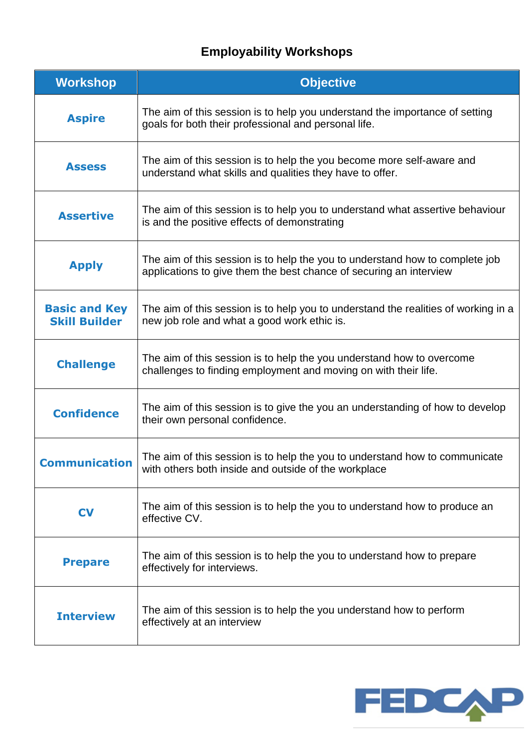## **Employability Workshops**

| <b>Workshop</b>                              | <b>Objective</b>                                                                                                                                   |
|----------------------------------------------|----------------------------------------------------------------------------------------------------------------------------------------------------|
| <b>Aspire</b>                                | The aim of this session is to help you understand the importance of setting<br>goals for both their professional and personal life.                |
| <b>Assess</b>                                | The aim of this session is to help the you become more self-aware and<br>understand what skills and qualities they have to offer.                  |
| <b>Assertive</b>                             | The aim of this session is to help you to understand what assertive behaviour<br>is and the positive effects of demonstrating                      |
| <b>Apply</b>                                 | The aim of this session is to help the you to understand how to complete job<br>applications to give them the best chance of securing an interview |
| <b>Basic and Key</b><br><b>Skill Builder</b> | The aim of this session is to help you to understand the realities of working in a<br>new job role and what a good work ethic is.                  |
| <b>Challenge</b>                             | The aim of this session is to help the you understand how to overcome<br>challenges to finding employment and moving on with their life.           |
| <b>Confidence</b>                            | The aim of this session is to give the you an understanding of how to develop<br>their own personal confidence.                                    |
| <b>Communication</b>                         | The aim of this session is to help the you to understand how to communicate<br>with others both inside and outside of the workplace                |
| <b>CV</b>                                    | The aim of this session is to help the you to understand how to produce an<br>effective CV.                                                        |
| <b>Prepare</b>                               | The aim of this session is to help the you to understand how to prepare<br>effectively for interviews.                                             |
| <b>Interview</b>                             | The aim of this session is to help the you understand how to perform<br>effectively at an interview                                                |

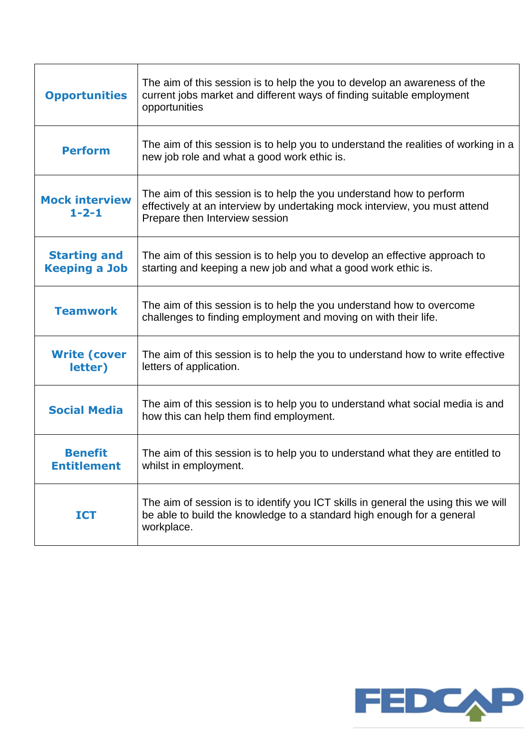| <b>Opportunities</b>                        | The aim of this session is to help the you to develop an awareness of the<br>current jobs market and different ways of finding suitable employment<br>opportunities                  |
|---------------------------------------------|--------------------------------------------------------------------------------------------------------------------------------------------------------------------------------------|
| <b>Perform</b>                              | The aim of this session is to help you to understand the realities of working in a<br>new job role and what a good work ethic is.                                                    |
| <b>Mock interview</b><br>$1 - 2 - 1$        | The aim of this session is to help the you understand how to perform<br>effectively at an interview by undertaking mock interview, you must attend<br>Prepare then Interview session |
| <b>Starting and</b><br><b>Keeping a Job</b> | The aim of this session is to help you to develop an effective approach to<br>starting and keeping a new job and what a good work ethic is.                                          |
| <b>Teamwork</b>                             | The aim of this session is to help the you understand how to overcome<br>challenges to finding employment and moving on with their life.                                             |
| <b>Write (cover</b><br>letter)              | The aim of this session is to help the you to understand how to write effective<br>letters of application.                                                                           |
| <b>Social Media</b>                         | The aim of this session is to help you to understand what social media is and<br>how this can help them find employment.                                                             |
| <b>Benefit</b><br><b>Entitlement</b>        | The aim of this session is to help you to understand what they are entitled to<br>whilst in employment.                                                                              |
| <b>ICT</b>                                  | The aim of session is to identify you ICT skills in general the using this we will<br>be able to build the knowledge to a standard high enough for a general<br>workplace.           |